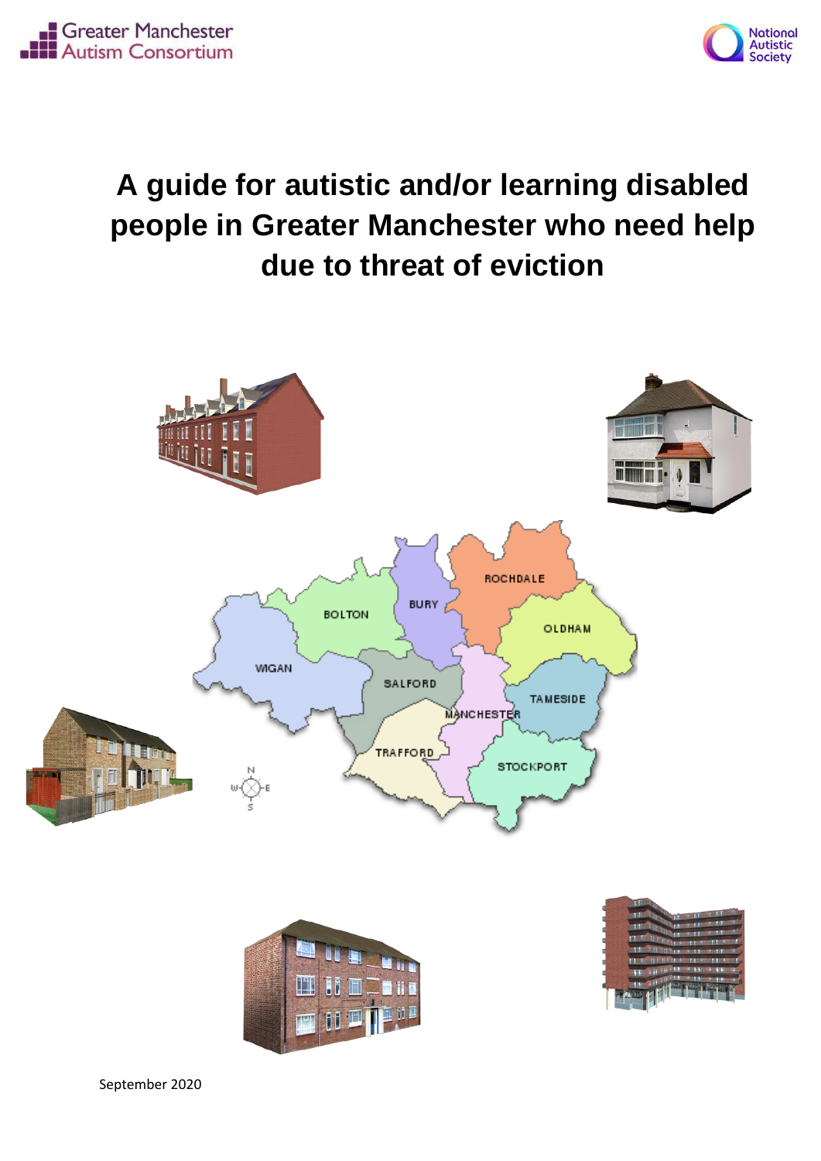



# **A guide for autistic and/or learning disabled people in Greater Manchester who need help due to threat of eviction**

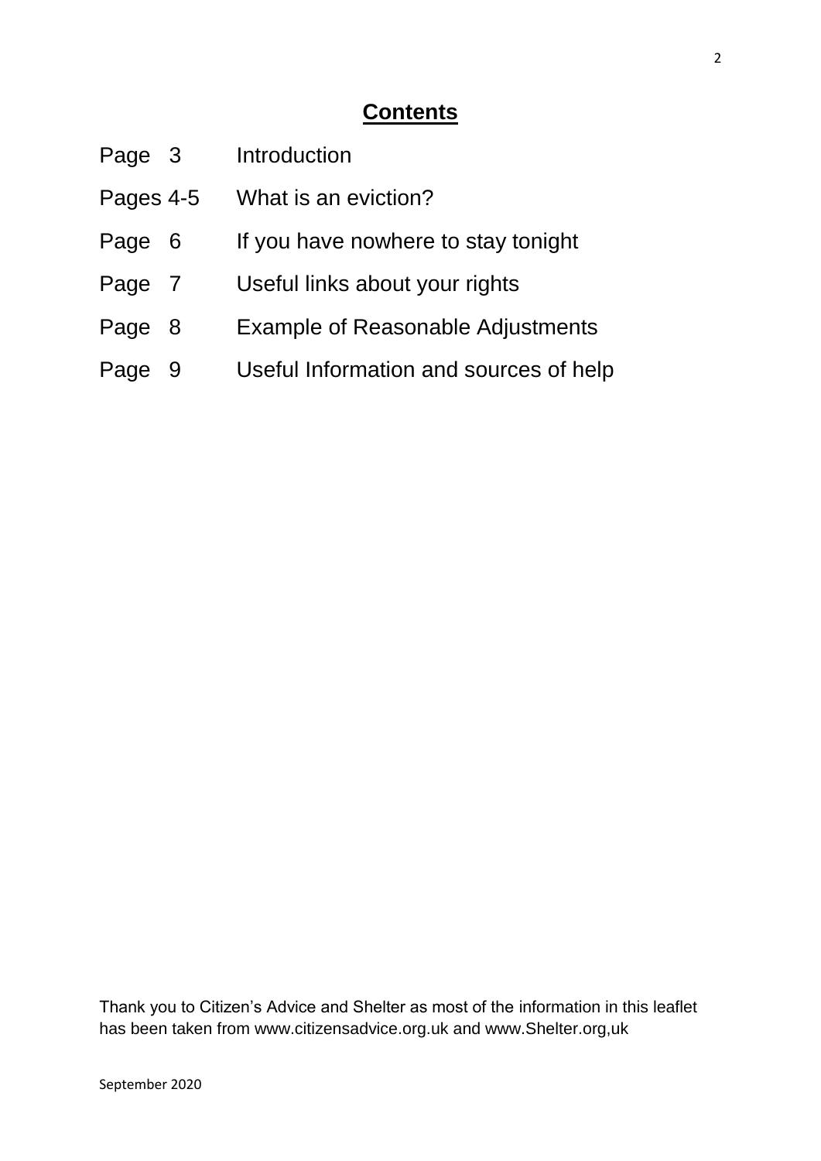#### **Contents**

| Page 3    |     | Introduction                             |
|-----------|-----|------------------------------------------|
| Pages 4-5 |     | What is an eviction?                     |
| Page      | - 6 | If you have nowhere to stay tonight      |
| Page 7    |     | Useful links about your rights           |
| Page      | - 8 | <b>Example of Reasonable Adjustments</b> |
| Page      | -9  | Useful Information and sources of help   |
|           |     |                                          |

Thank you to Citizen's Advice and Shelter as most of the information in this leaflet has been taken from www.citizensadvice.org.uk and www.Shelter.org,uk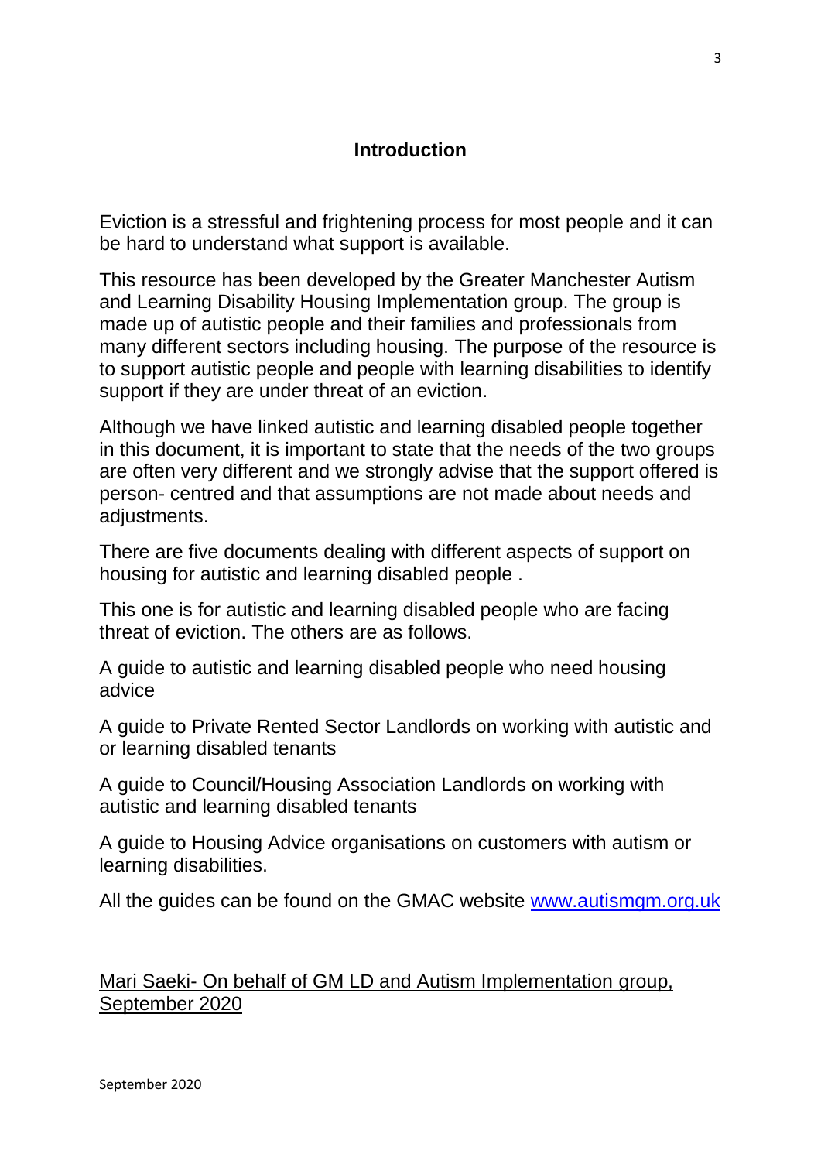#### **Introduction**

Eviction is a stressful and frightening process for most people and it can be hard to understand what support is available.

This resource has been developed by the Greater Manchester Autism and Learning Disability Housing Implementation group. The group is made up of autistic people and their families and professionals from many different sectors including housing. The purpose of the resource is to support autistic people and people with learning disabilities to identify support if they are under threat of an eviction.

Although we have linked autistic and learning disabled people together in this document, it is important to state that the needs of the two groups are often very different and we strongly advise that the support offered is person- centred and that assumptions are not made about needs and adiustments.

There are five documents dealing with different aspects of support on housing for autistic and learning disabled people .

This one is for autistic and learning disabled people who are facing threat of eviction. The others are as follows.

A guide to autistic and learning disabled people who need housing advice

A guide to Private Rented Sector Landlords on working with autistic and or learning disabled tenants

A guide to Council/Housing Association Landlords on working with autistic and learning disabled tenants

A guide to Housing Advice organisations on customers with autism or learning disabilities.

All the guides can be found on the GMAC website [www.autismgm.org.uk](http://www.autismgm.org.uk/)

Mari Saeki- On behalf of GM LD and Autism Implementation group, September 2020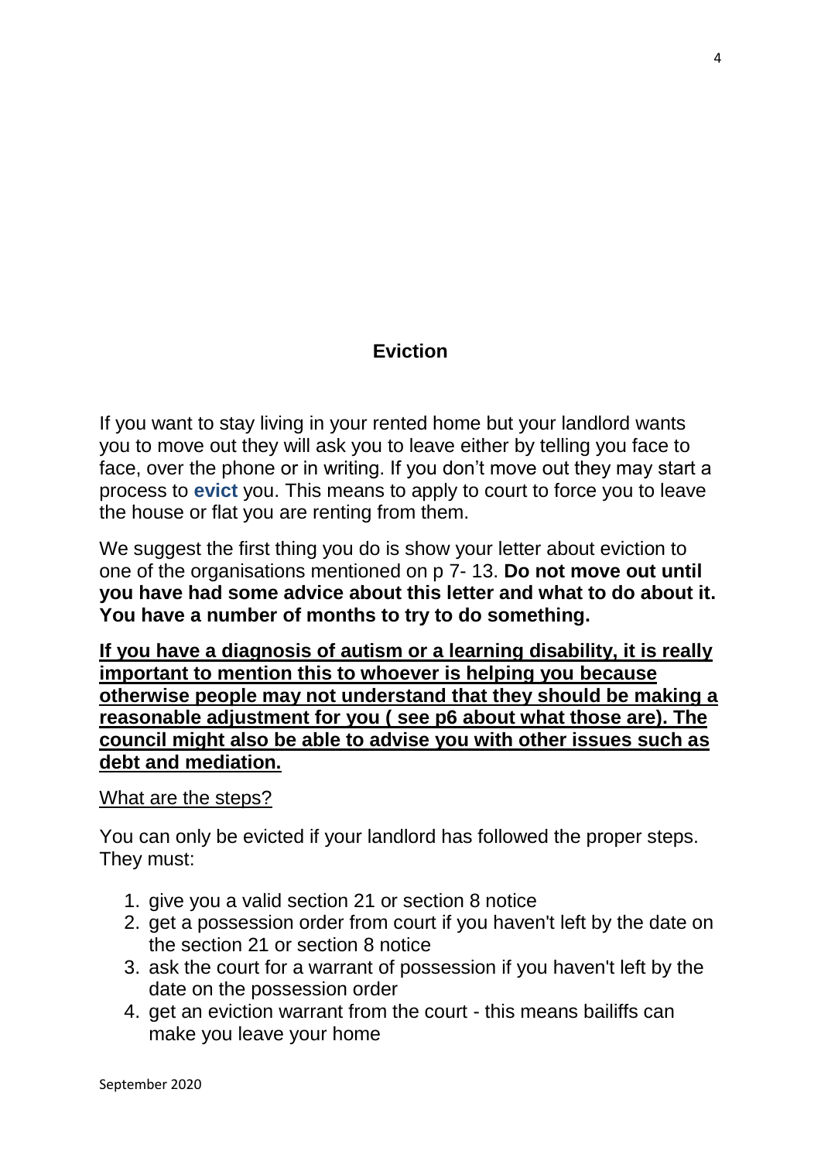#### **Eviction**

If you want to stay living in your rented home but your landlord wants you to move out they will ask you to leave either by telling you face to face, over the phone or in writing. If you don't move out they may start a process to **evict** you. This means to apply to court to force you to leave the house or flat you are renting from them.

We suggest the first thing you do is show your letter about eviction to one of the organisations mentioned on p 7- 13. **Do not move out until you have had some advice about this letter and what to do about it. You have a number of months to try to do something.**

**If you have a diagnosis of autism or a learning disability, it is really important to mention this to whoever is helping you because otherwise people may not understand that they should be making a reasonable adjustment for you ( see p6 about what those are). The council might also be able to advise you with other issues such as debt and mediation.**

#### What are the steps?

You can only be evicted if your landlord has followed the proper steps. They must:

- 1. give you a valid section 21 or section 8 notice
- 2. get a possession order from court if you haven't left by the date on the section 21 or section 8 notice
- 3. ask the court for a warrant of possession if you haven't left by the date on the possession order
- 4. get an eviction warrant from the court this means bailiffs can make you leave your home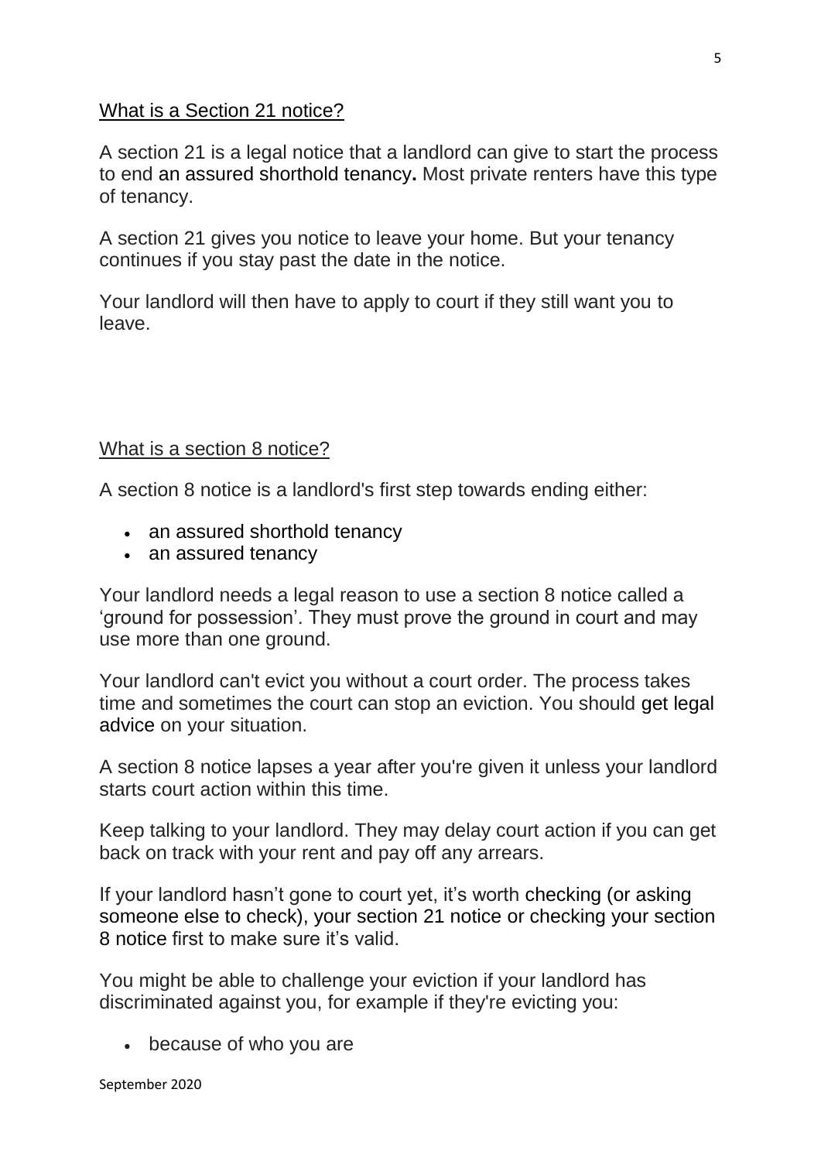#### What is a Section 21 notice?

A section 21 is a legal notice that a landlord can give to start the process to end an [assured shorthold tenancy](https://england.shelter.org.uk/housing_advice/private_renting/assured_shorthold_tenancies_with_private_landlords)**.** Most private renters have this type of tenancy.

A section 21 gives you notice to leave your home. But your tenancy continues if you stay past the date in the notice.

Your landlord will then have to apply to court if they still want you to leave.

#### What is a section 8 notice?

A section 8 notice is a landlord's first step towards ending either:

- [an assured shorthold tenancy](https://england.shelter.org.uk/housing_advice/private_renting/assured_shorthold_tenancies_with_private_landlords)
- [an assured tenancy](https://england.shelter.org.uk/housing_advice/private_renting/assured_tenancies)

Your landlord needs a legal reason to use a section 8 notice called a 'ground for possession'. They must prove the ground in court and may use more than one ground.

Your landlord can't evict you without a court order. The process takes time and sometimes the court can stop an eviction. You should [get legal](https://england.shelter.org.uk/housing_advice/complaints,_courts_and_tribunals/legal_aid_and_free_legal_advice)  [advice](https://england.shelter.org.uk/housing_advice/complaints,_courts_and_tribunals/legal_aid_and_free_legal_advice) on your situation.

A section 8 notice lapses a year after you're given it unless your landlord starts court action within this time.

Keep talking to your landlord. They may delay court action if you can get back on track with your rent and pay off any arrears.

If your landlord hasn't gone to court yet, it's worth [checking \(or asking](https://www.citizensadvice.org.uk/housing/renting-privately/during-your-tenancy/if-you-get-a-section-21-notice/)  [someone else to check\), your section 21 notice](https://www.citizensadvice.org.uk/housing/renting-privately/during-your-tenancy/if-you-get-a-section-21-notice/) or [checking your section](https://www.citizensadvice.org.uk/housing/renting-privately/during-your-tenancy/check-your-section-8-notice/)  [8 notice](https://www.citizensadvice.org.uk/housing/renting-privately/during-your-tenancy/check-your-section-8-notice/) first to make sure it's valid.

You might be able to challenge your eviction if your landlord has discriminated against you, for example if they're evicting you:

because of who you are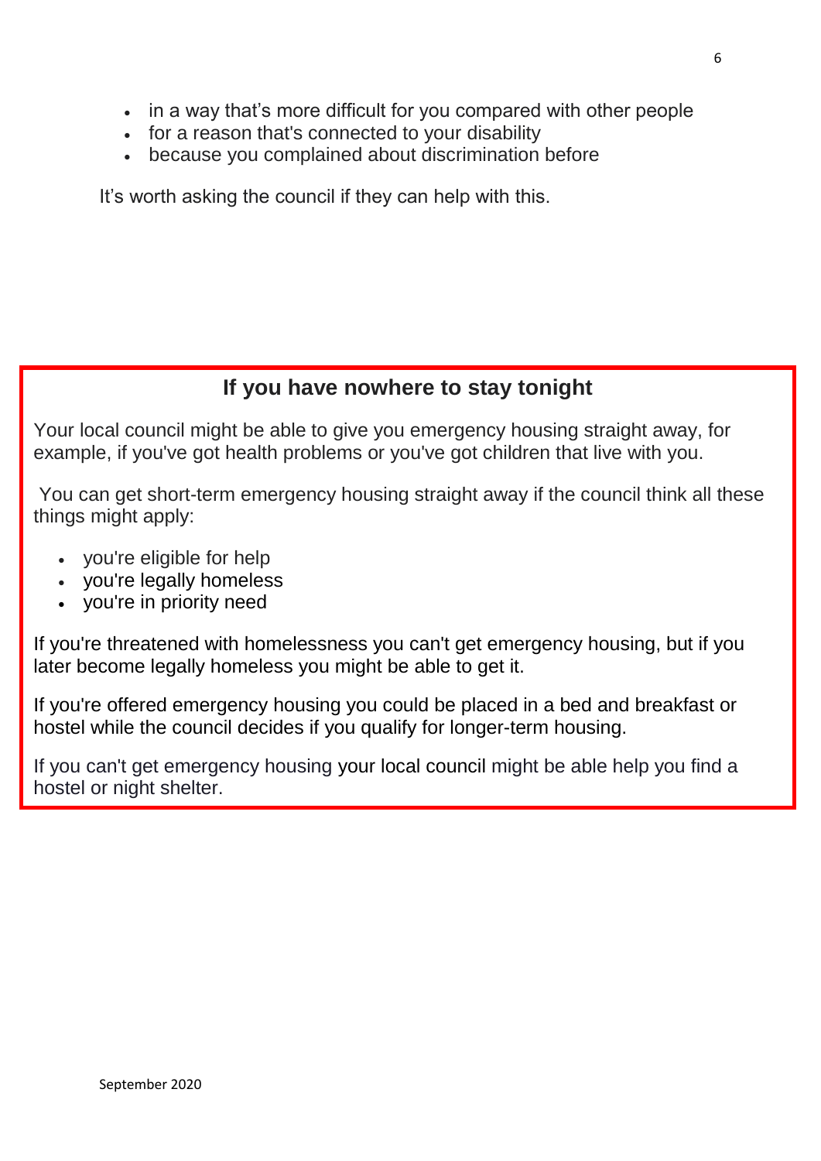- in a way that's more difficult for you compared with other people
- for a reason that's connected to your disability
- because you complained about discrimination before

It's worth asking the council if they can help with this.

#### **If you have nowhere to stay tonight**

Your local council might be able to give you emergency housing straight away, for example, if you've got health problems or you've got children that live with you.

You can get short-term emergency housing straight away if the council think all these things might apply:

- you're eligible for help
- you're legally homeless
- you're in priority need

If you're threatened with homelessness you can't get emergency housing, but if you later become legally homeless you might be able to get it.

If you're offered emergency housing you could be placed in a bed and breakfast or hostel while the council decides if you qualify for longer-term housing.

If you can't get emergency housing [your local council](https://www.gov.uk/find-local-council) might be able help you find a hostel or night shelter.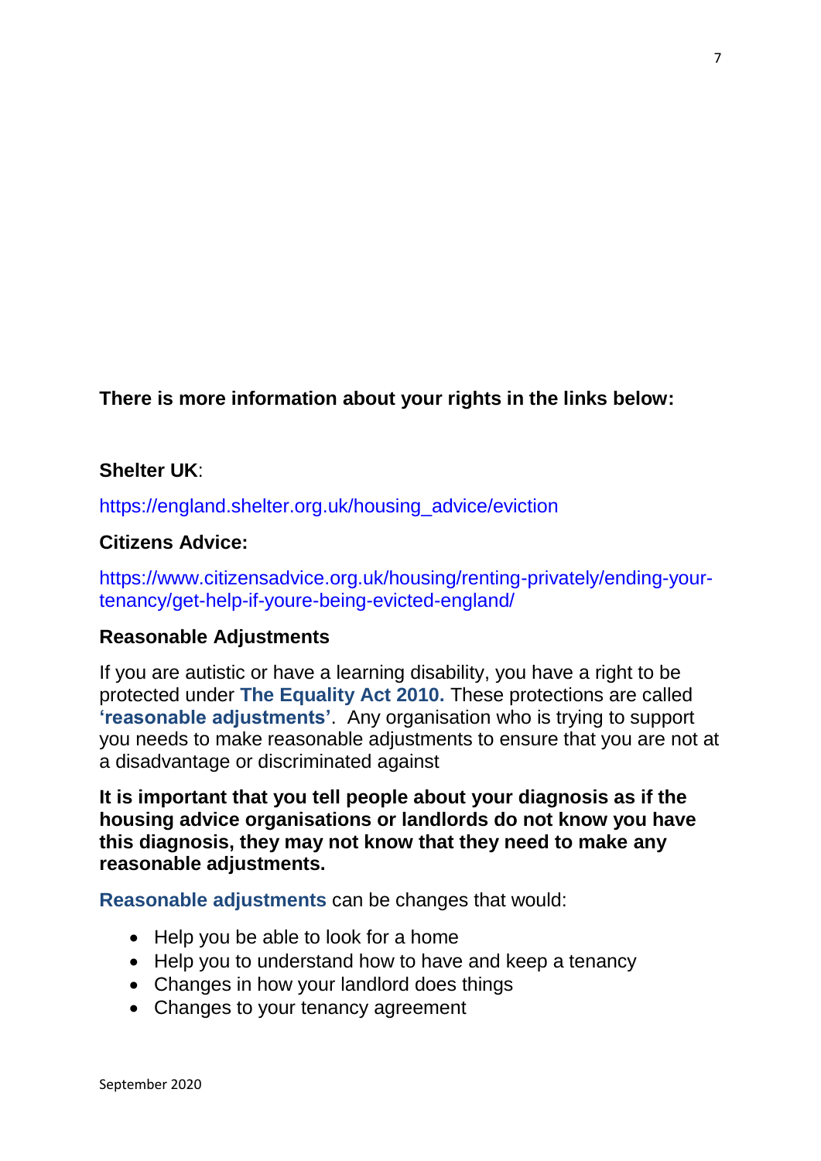**There is more information about your rights in the links below:**

#### **Shelter UK**:

[https://england.shelter.org.uk/housing\\_advice/eviction](https://england.shelter.org.uk/housing_advice/eviction)

#### **Citizens Advice:**

[https://www.citizensadvice.org.uk/housing/renting-privately/ending-your](https://www.citizensadvice.org.uk/housing/renting-privately/ending-your-tenancy/get-help-if-youre-being-evicted-england/)[tenancy/get-help-if-youre-being-evicted-england/](https://www.citizensadvice.org.uk/housing/renting-privately/ending-your-tenancy/get-help-if-youre-being-evicted-england/)

#### **Reasonable Adjustments**

If you are autistic or have a learning disability, you have a right to be protected under **The Equality Act 2010.** These protections are called **'reasonable adjustments'**. Any organisation who is trying to support you needs to make reasonable adjustments to ensure that you are not at a disadvantage or discriminated against

**It is important that you tell people about your diagnosis as if the housing advice organisations or landlords do not know you have this diagnosis, they may not know that they need to make any reasonable adjustments.**

**Reasonable adjustments** can be changes that would:

- Help you be able to look for a home
- Help you to understand how to have and keep a tenancy
- Changes in how your landlord does things
- Changes to your tenancy agreement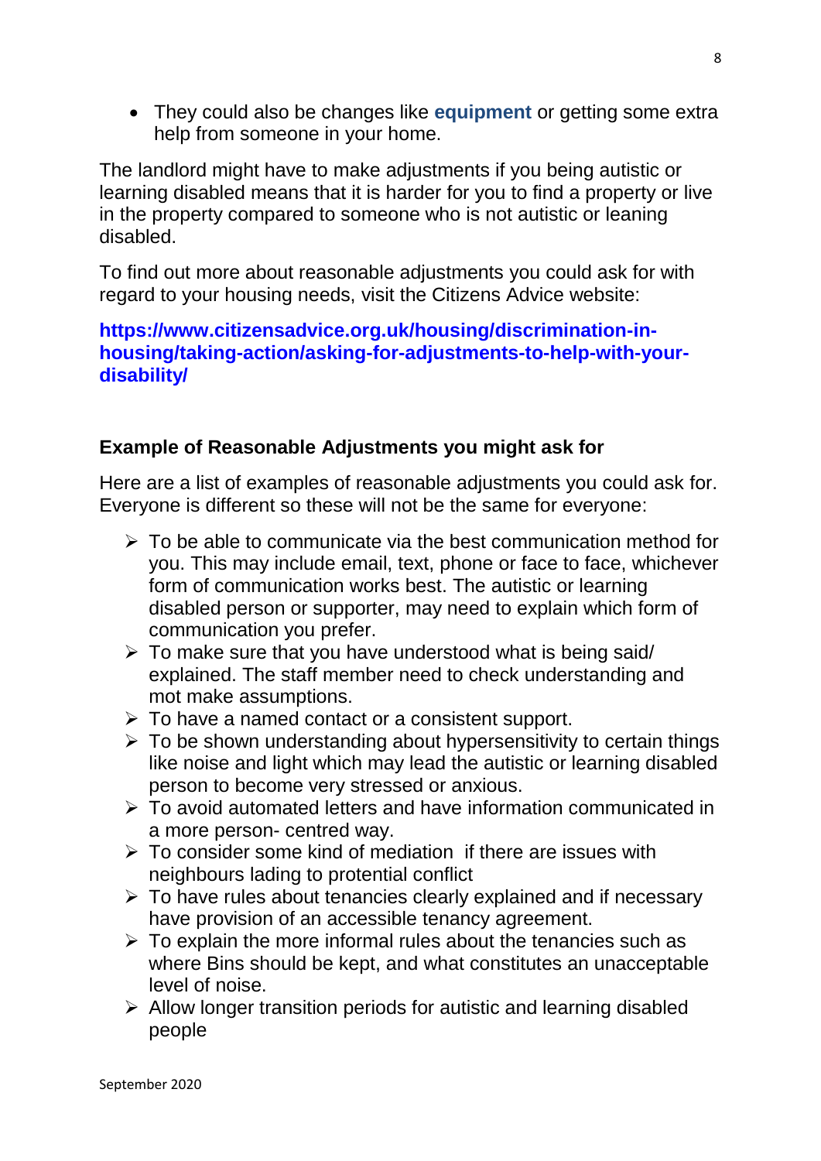They could also be changes like **equipment** or getting some extra help from someone in your home.

The landlord might have to make adjustments if you being autistic or learning disabled means that it is harder for you to find a property or live in the property compared to someone who is not autistic or leaning disabled.

To find out more about reasonable adjustments you could ask for with regard to your housing needs, visit the Citizens Advice website:

#### **[https://www.citizensadvice.org.uk/housing/discrimination-in](https://www.citizensadvice.org.uk/housing/discrimination-in-housing/taking-action/asking-for-adjustments-to-help-with-your-disability/)[housing/taking-action/asking-for-adjustments-to-help-with-your](https://www.citizensadvice.org.uk/housing/discrimination-in-housing/taking-action/asking-for-adjustments-to-help-with-your-disability/)[disability/](https://www.citizensadvice.org.uk/housing/discrimination-in-housing/taking-action/asking-for-adjustments-to-help-with-your-disability/)**

#### **Example of Reasonable Adjustments you might ask for**

Here are a list of examples of reasonable adjustments you could ask for. Everyone is different so these will not be the same for everyone:

- $\triangleright$  To be able to communicate via the best communication method for you. This may include email, text, phone or face to face, whichever form of communication works best. The autistic or learning disabled person or supporter, may need to explain which form of communication you prefer.
- $\triangleright$  To make sure that you have understood what is being said/ explained. The staff member need to check understanding and mot make assumptions.
- $\triangleright$  To have a named contact or a consistent support.
- $\triangleright$  To be shown understanding about hypersensitivity to certain things like noise and light which may lead the autistic or learning disabled person to become very stressed or anxious.
- To avoid automated letters and have information communicated in a more person- centred way.
- $\triangleright$  To consider some kind of mediation if there are issues with neighbours lading to protential conflict
- $\triangleright$  To have rules about tenancies clearly explained and if necessary have provision of an accessible tenancy agreement.
- $\triangleright$  To explain the more informal rules about the tenancies such as where Bins should be kept, and what constitutes an unacceptable level of noise.
- $\triangleright$  Allow longer transition periods for autistic and learning disabled people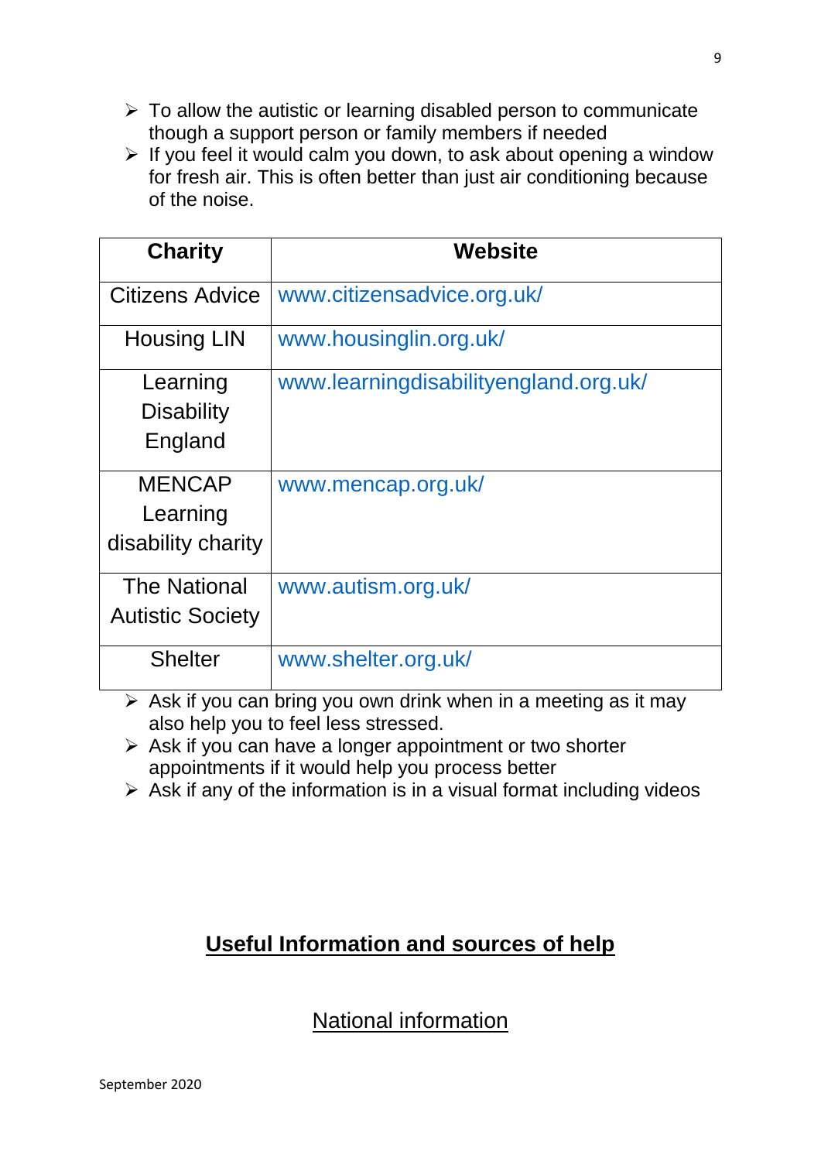- $\triangleright$  To allow the autistic or learning disabled person to communicate though a support person or family members if needed
- $\triangleright$  If you feel it would calm you down, to ask about opening a window for fresh air. This is often better than just air conditioning because of the noise.

| <b>Charity</b>                                  | Website                               |
|-------------------------------------------------|---------------------------------------|
| <b>Citizens Advice</b>                          | www.citizensadvice.org.uk/            |
| <b>Housing LIN</b>                              | www.housinglin.org.uk/                |
| Learning<br><b>Disability</b><br>England        | www.learningdisabilityengland.org.uk/ |
| <b>MENCAP</b><br>Learning<br>disability charity | www.mencap.org.uk/                    |
| <b>The National</b><br><b>Autistic Society</b>  | www.autism.org.uk/                    |
| <b>Shelter</b>                                  | www.shelter.org.uk/                   |

 $\triangleright$  Ask if you can bring you own drink when in a meeting as it may also help you to feel less stressed.

 $\triangleright$  Ask if you can have a longer appointment or two shorter appointments if it would help you process better

 $\triangleright$  Ask if any of the information is in a visual format including videos

#### **Useful Information and sources of help**

National information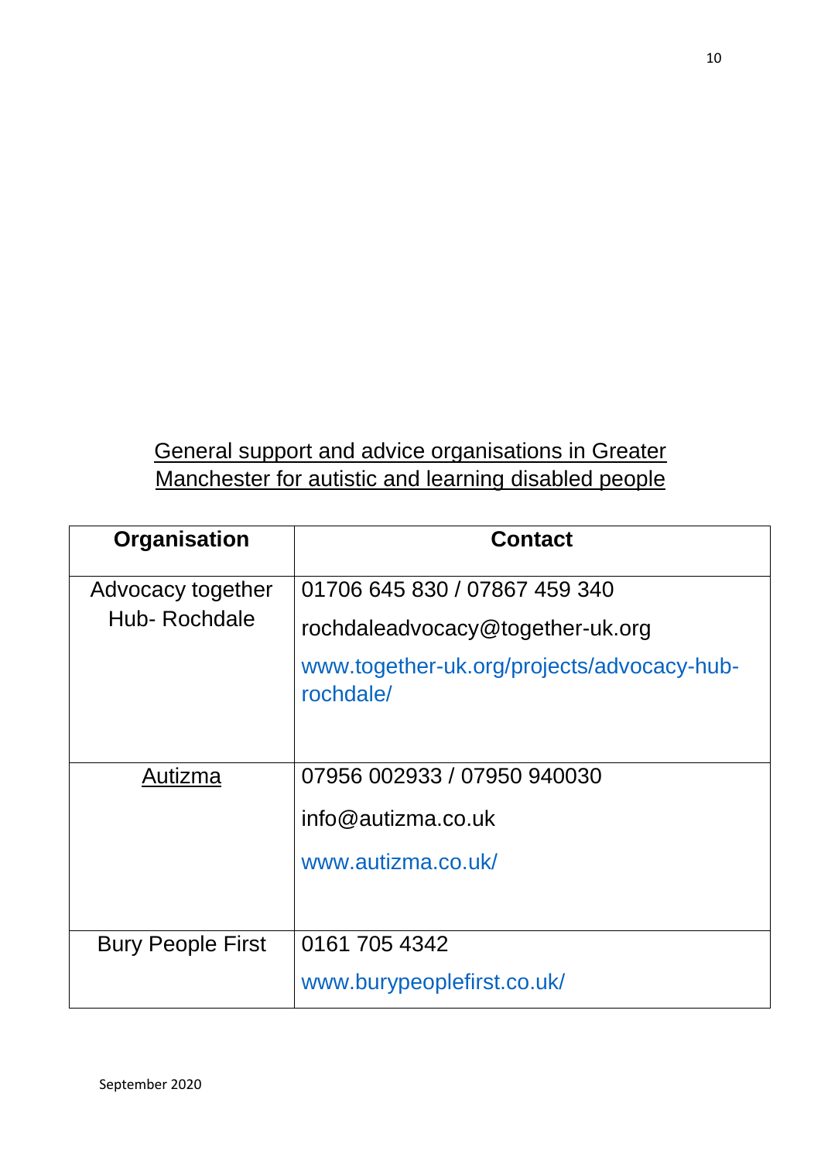#### General support and advice organisations in Greater Manchester for autistic and learning disabled people

| Organisation             | <b>Contact</b>                                          |
|--------------------------|---------------------------------------------------------|
| Advocacy together        | 01706 645 830 / 07867 459 340                           |
| Hub-Rochdale             | rochdaleadvocacy@together-uk.org                        |
|                          | www.together-uk.org/projects/advocacy-hub-<br>rochdale/ |
|                          |                                                         |
| Autizma                  | 07956 002933 / 07950 940030                             |
|                          | info@autizma.co.uk                                      |
|                          | www.autizma.co.uk/                                      |
| <b>Bury People First</b> | 0161 705 4342                                           |
|                          | www.burypeoplefirst.co.uk/                              |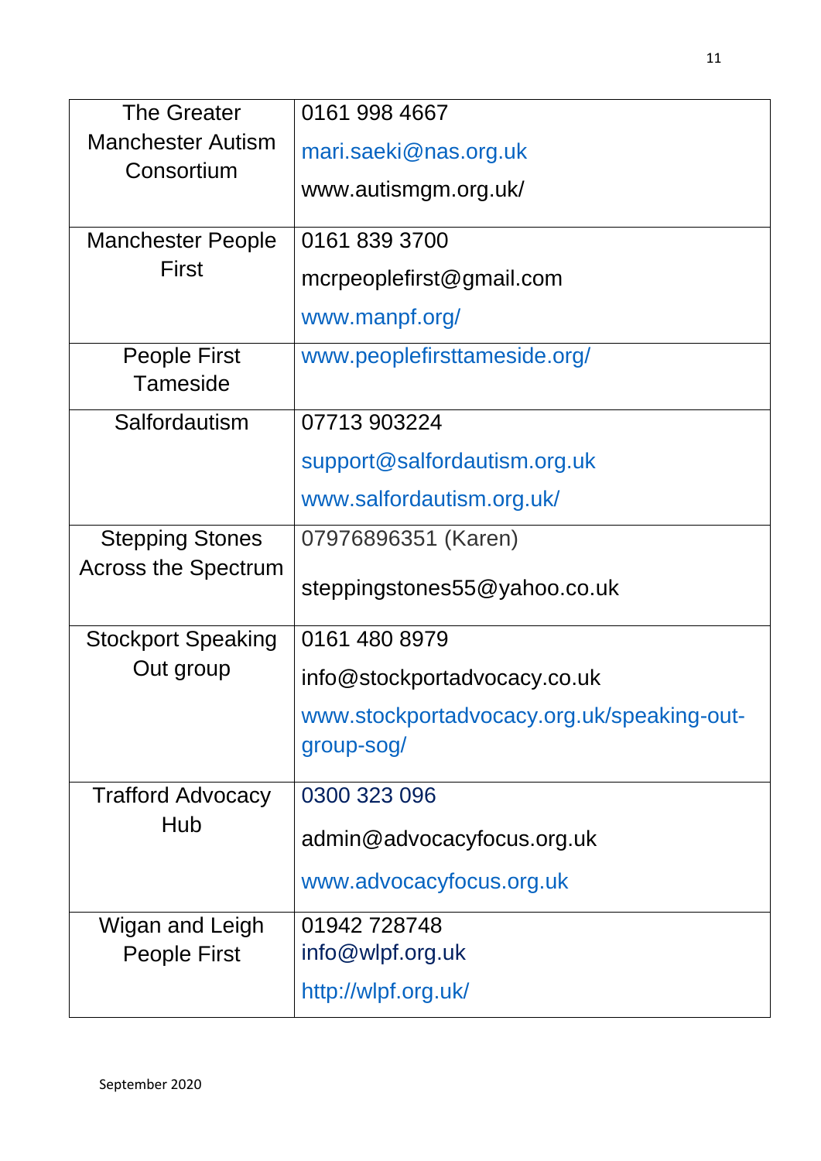| <b>The Greater</b>                     | 0161 998 4667                              |
|----------------------------------------|--------------------------------------------|
| <b>Manchester Autism</b><br>Consortium | mari.saeki@nas.org.uk                      |
|                                        | www.autismgm.org.uk/                       |
| <b>Manchester People</b>               | 0161 839 3700                              |
| <b>First</b>                           | mcrpeoplefirst@gmail.com                   |
|                                        | www.manpf.org/                             |
| <b>People First</b><br><b>Tameside</b> | www.peoplefirsttameside.org/               |
| Salfordautism                          | 07713 903224                               |
|                                        | support@salfordautism.org.uk               |
|                                        | www.salfordautism.org.uk/                  |
| <b>Stepping Stones</b>                 | 07976896351 (Karen)                        |
| <b>Across the Spectrum</b>             | steppingstones55@yahoo.co.uk               |
| <b>Stockport Speaking</b>              | 0161 480 8979                              |
| Out group                              | info@stockportadvocacy.co.uk               |
|                                        | www.stockportadvocacy.org.uk/speaking-out- |
|                                        | group-sog/                                 |
| <b>Trafford Advocacy</b>               | 0300 323 096                               |
| Hub                                    | admin@advocacyfocus.org.uk                 |
|                                        | www.advocacyfocus.org.uk                   |
| Wigan and Leigh                        | 01942728748                                |
| <b>People First</b>                    | info@wlpf.org.uk                           |
|                                        | http://wlpf.org.uk/                        |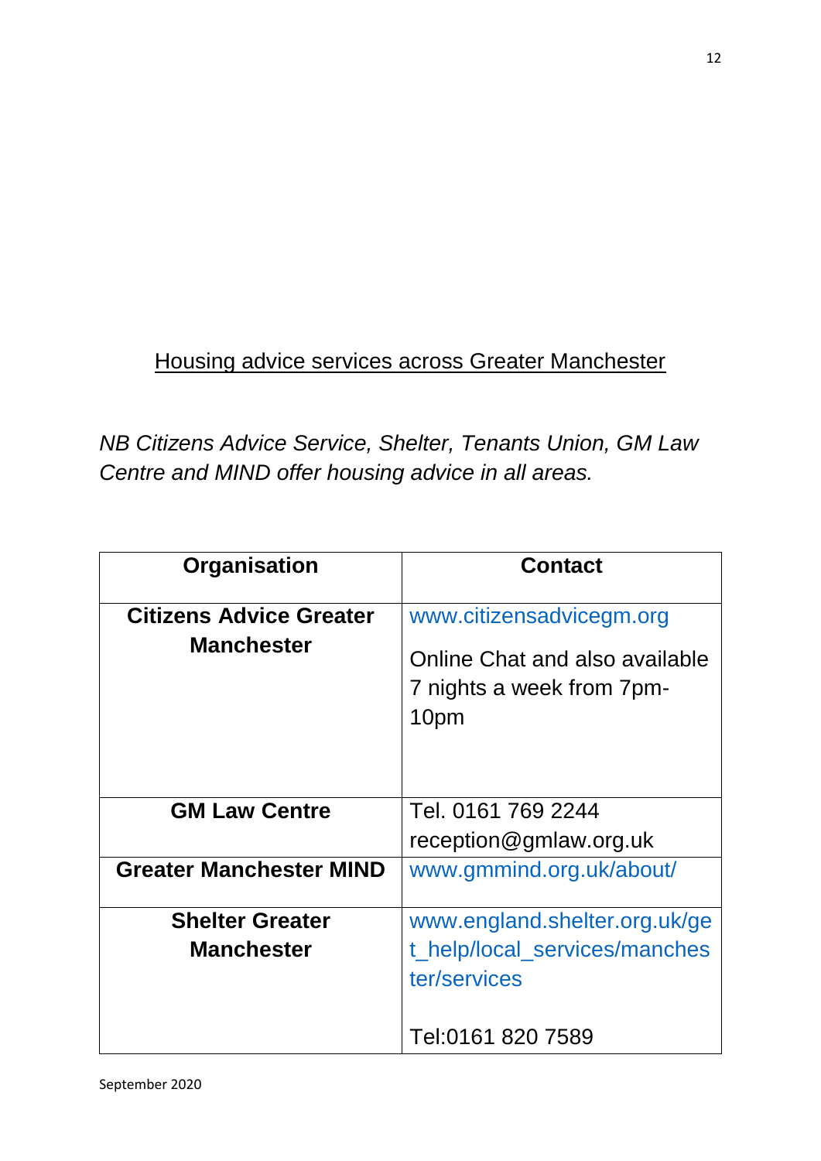## Housing advice services across Greater Manchester

*NB Citizens Advice Service, Shelter, Tenants Union, GM Law Centre and MIND offer housing advice in all areas.* 

| Organisation                                        | <b>Contact</b>                                                                                  |
|-----------------------------------------------------|-------------------------------------------------------------------------------------------------|
| <b>Citizens Advice Greater</b><br><b>Manchester</b> | www.citizensadvicegm.org<br>Online Chat and also available<br>7 nights a week from 7pm-<br>10pm |
| <b>GM Law Centre</b>                                | Tel. 0161 769 2244<br>reception@gmlaw.org.uk                                                    |
| <b>Greater Manchester MIND</b>                      | www.gmmind.org.uk/about/                                                                        |
| <b>Shelter Greater</b><br><b>Manchester</b>         | www.england.shelter.org.uk/ge<br>t_help/local_services/manches<br>ter/services                  |
|                                                     | Tel:0161 820 7589                                                                               |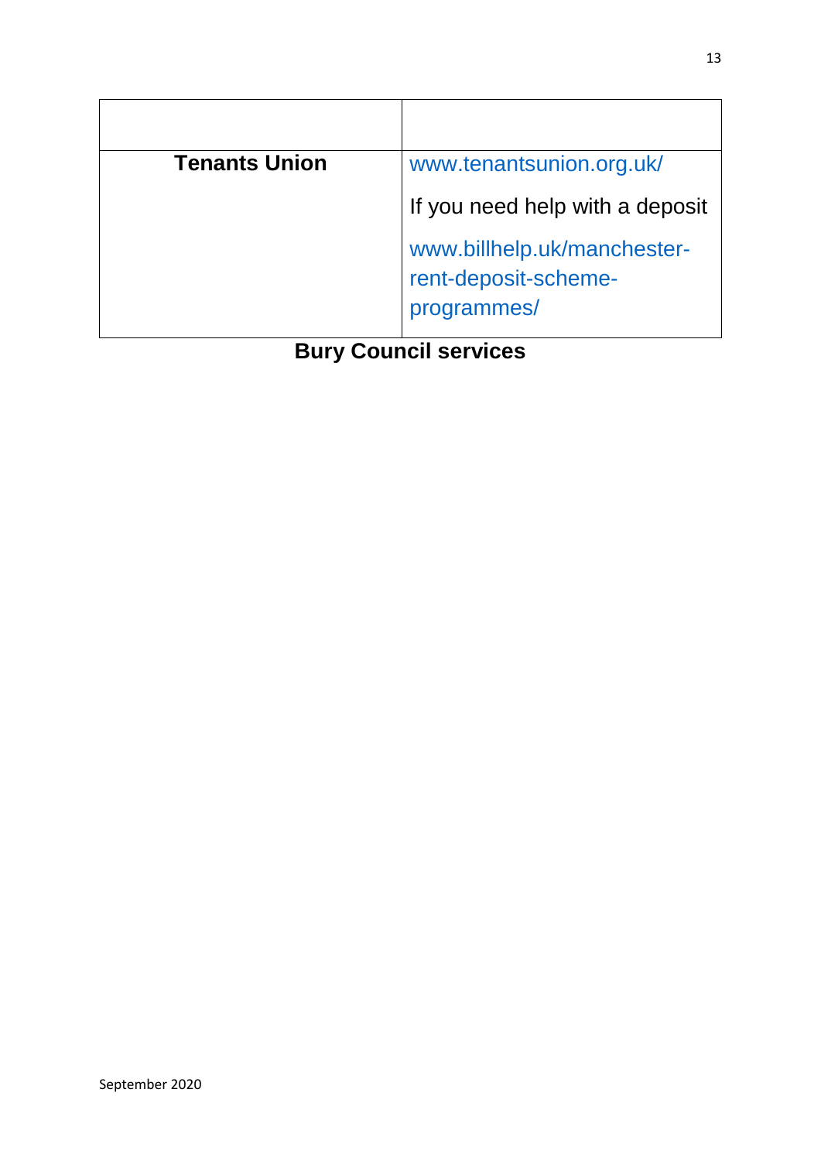| <b>Tenants Union</b> | www.tenantsunion.org.uk/                                           |
|----------------------|--------------------------------------------------------------------|
|                      | If you need help with a deposit                                    |
|                      | www.billhelp.uk/manchester-<br>rent-deposit-scheme-<br>programmes/ |

**Bury Council services**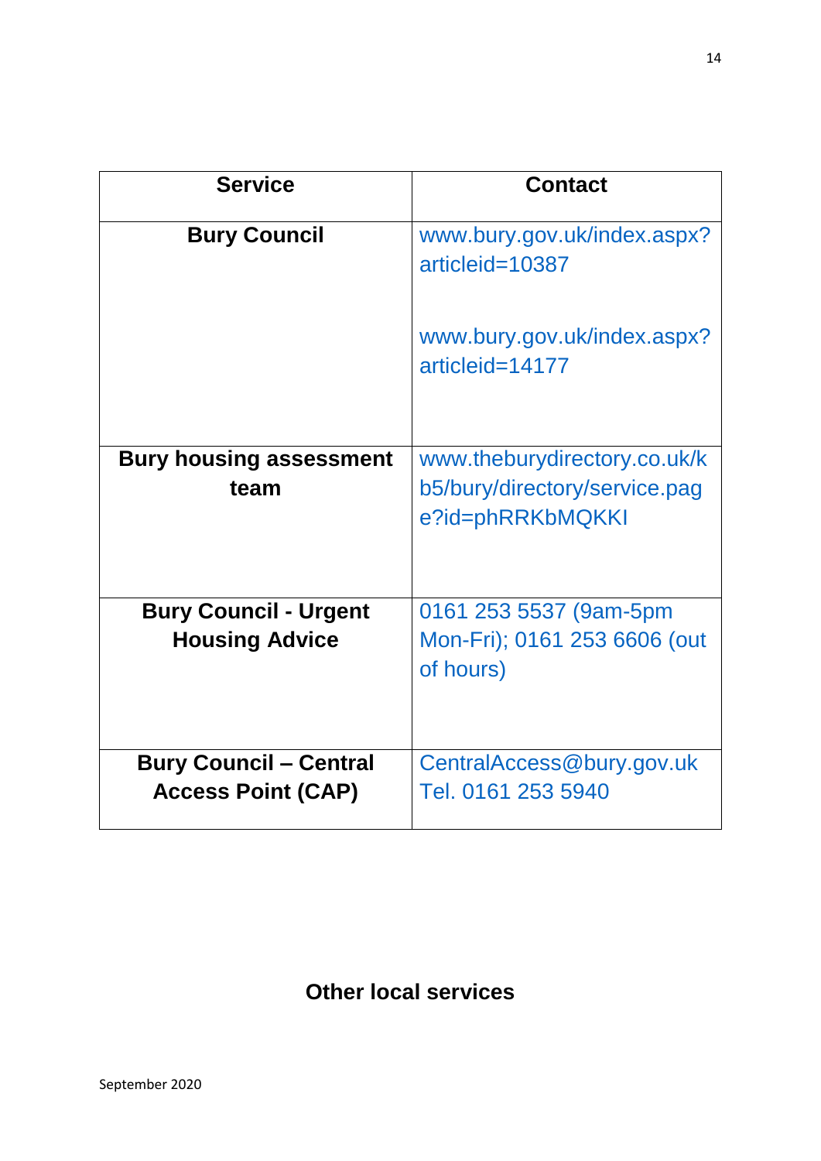| <b>Service</b>                         | <b>Contact</b>                                                                    |
|----------------------------------------|-----------------------------------------------------------------------------------|
| <b>Bury Council</b>                    | www.bury.gov.uk/index.aspx?<br>articleid=10387                                    |
|                                        | www.bury.gov.uk/index.aspx?<br>articleid=14177                                    |
| <b>Bury housing assessment</b><br>team | www.theburydirectory.co.uk/k<br>b5/bury/directory/service.pag<br>e?id=phRRKbMQKKI |
| <b>Bury Council - Urgent</b>           | 0161 253 5537 (9am-5pm                                                            |
| <b>Housing Advice</b>                  | Mon-Fri); 0161 253 6606 (out<br>of hours)                                         |
| <b>Bury Council - Central</b>          | CentralAccess@bury.gov.uk                                                         |
| <b>Access Point (CAP)</b>              | Tel. 0161 253 5940                                                                |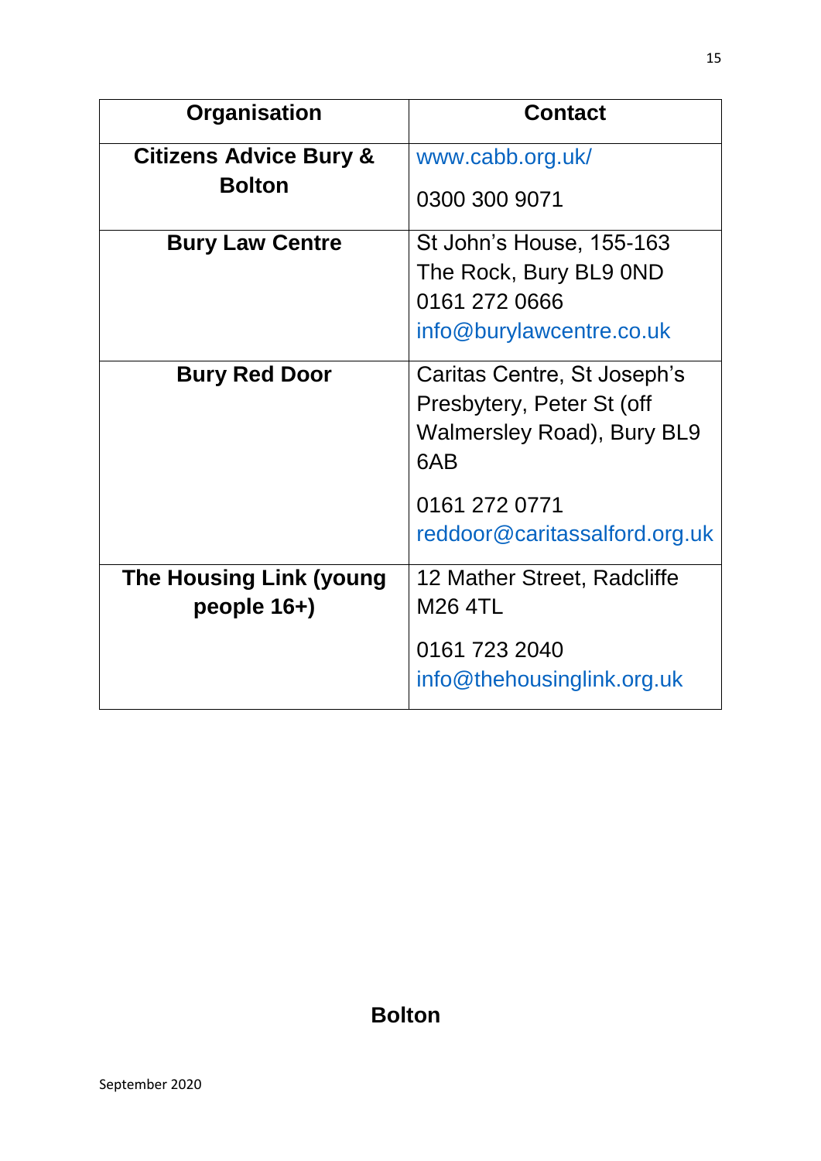| <b>Organisation</b>                           | <b>Contact</b>                                                                                       |
|-----------------------------------------------|------------------------------------------------------------------------------------------------------|
| <b>Citizens Advice Bury &amp;</b>             | www.cabb.org.uk/                                                                                     |
| <b>Bolton</b>                                 | 0300 300 9071                                                                                        |
| <b>Bury Law Centre</b>                        | St John's House, 155-163<br>The Rock, Bury BL9 0ND                                                   |
|                                               | 0161 272 0666                                                                                        |
|                                               | info@burylawcentre.co.uk                                                                             |
| <b>Bury Red Door</b>                          | Caritas Centre, St Joseph's<br>Presbytery, Peter St (off<br><b>Walmersley Road), Bury BL9</b><br>6AB |
|                                               | 0161 272 0771<br>reddoor@caritassalford.org.uk                                                       |
| <b>The Housing Link (young</b><br>people 16+) | 12 Mather Street, Radcliffe<br><b>M26 4TL</b>                                                        |
|                                               | 0161 723 2040<br>info@thehousinglink.org.uk                                                          |

**Bolton**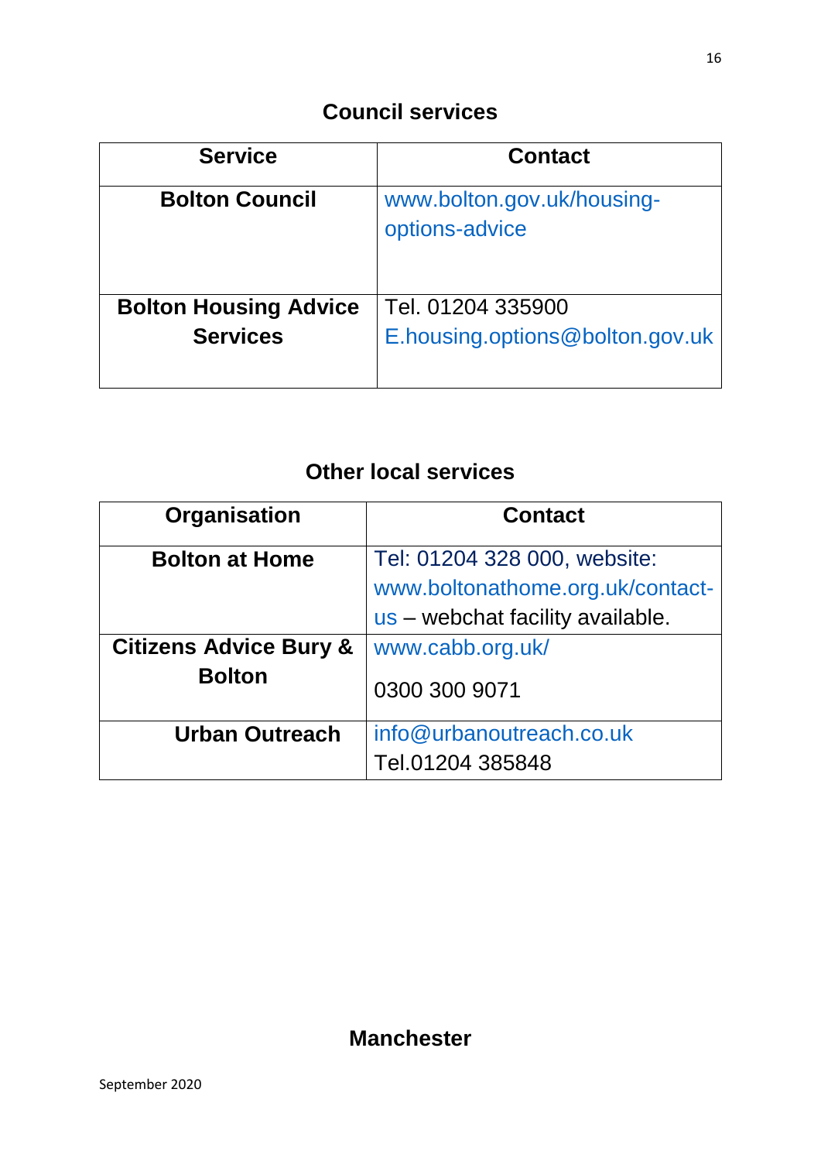| <b>Service</b>               | <b>Contact</b>                               |
|------------------------------|----------------------------------------------|
| <b>Bolton Council</b>        | www.bolton.gov.uk/housing-<br>options-advice |
| <b>Bolton Housing Advice</b> | Tel. 01204 335900                            |
| <b>Services</b>              | E.housing.options@bolton.gov.uk              |

### **Other local services**

| Organisation                                       | <b>Contact</b>                                                                                       |
|----------------------------------------------------|------------------------------------------------------------------------------------------------------|
| <b>Bolton at Home</b>                              | Tel: 01204 328 000, website:<br>www.boltonathome.org.uk/contact-<br>us – webchat facility available. |
| <b>Citizens Advice Bury &amp;</b><br><b>Bolton</b> | www.cabb.org.uk/<br>0300 300 9071                                                                    |
| <b>Urban Outreach</b>                              | info@urbanoutreach.co.uk<br>Tel.01204 385848                                                         |

#### **Manchester**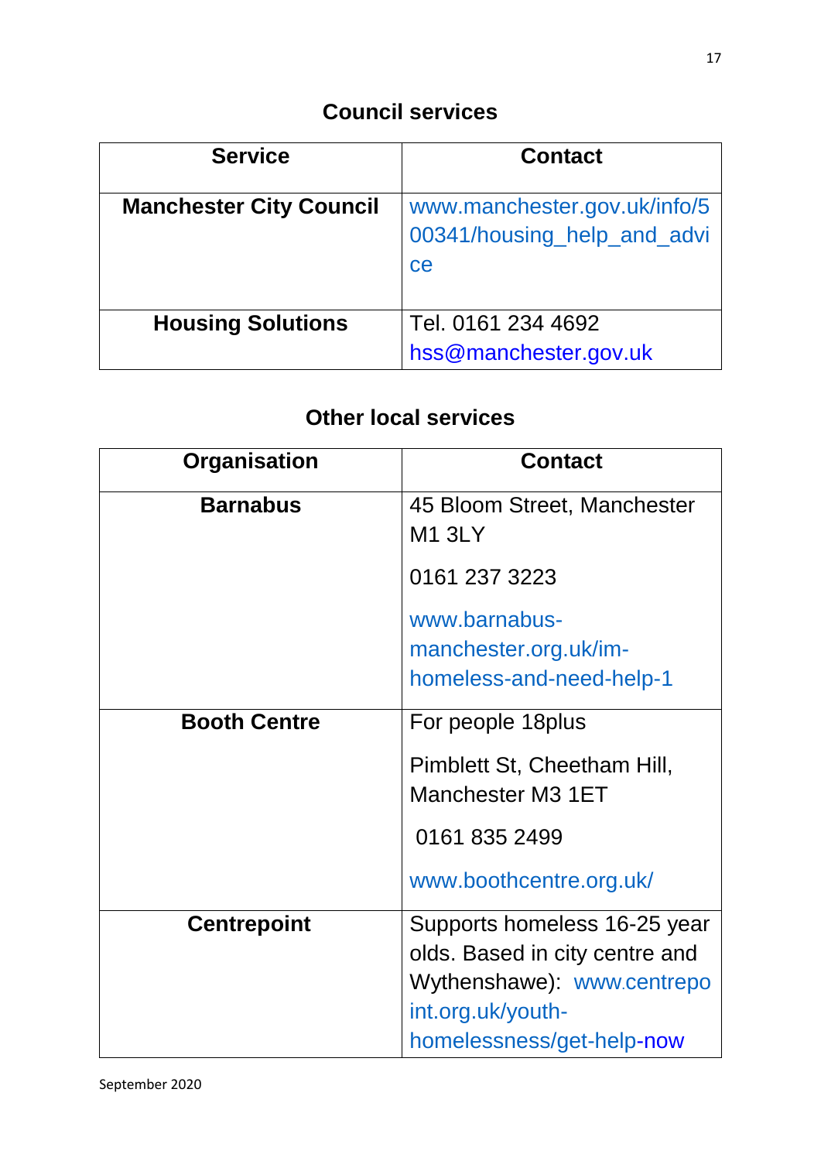| <b>Service</b>                 | <b>Contact</b>                                                    |
|--------------------------------|-------------------------------------------------------------------|
| <b>Manchester City Council</b> | www.manchester.gov.uk/info/5<br>00341/housing_help_and_advi<br>ce |
| <b>Housing Solutions</b>       | Tel. 0161 234 4692<br>hss@manchester.gov.uk                       |

| Organisation        | <b>Contact</b>                                                                                                    |
|---------------------|-------------------------------------------------------------------------------------------------------------------|
| <b>Barnabus</b>     | 45 Bloom Street, Manchester<br><b>M1 3LY</b>                                                                      |
|                     | 0161 237 3223                                                                                                     |
|                     | www.barnabus-<br>manchester.org.uk/im-<br>homeless-and-need-help-1                                                |
| <b>Booth Centre</b> | For people 18 plus                                                                                                |
|                     | Pimblett St, Cheetham Hill,<br>Manchester M3 1ET                                                                  |
|                     | 0161 835 2499                                                                                                     |
|                     | www.boothcentre.org.uk/                                                                                           |
| <b>Centrepoint</b>  | Supports homeless 16-25 year<br>olds. Based in city centre and<br>Wythenshawe): www.centrepo<br>int.org.uk/youth- |
|                     | homelessness/get-help-now                                                                                         |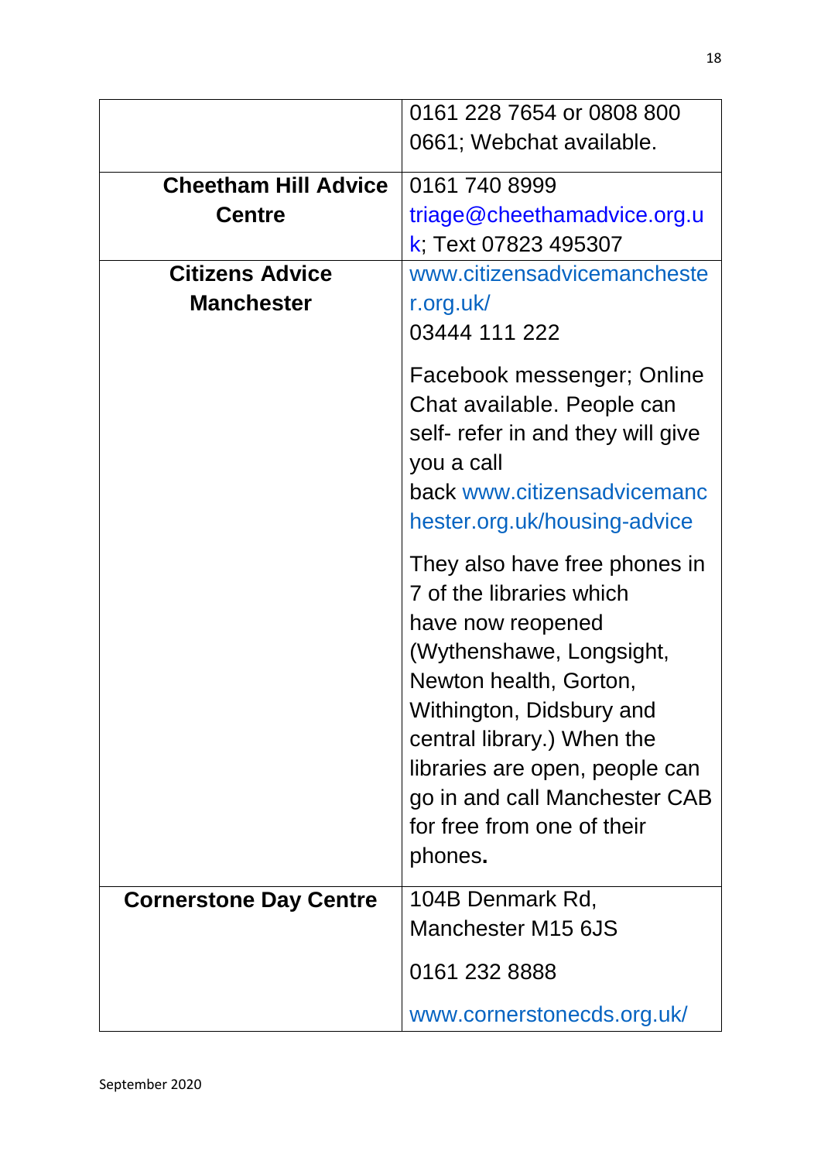|                               | 0161 228 7654 or 0808 800         |
|-------------------------------|-----------------------------------|
|                               | 0661; Webchat available.          |
|                               |                                   |
| <b>Cheetham Hill Advice</b>   | 0161 740 8999                     |
| <b>Centre</b>                 | triage@cheethamadvice.org.u       |
|                               | k; Text 07823 495307              |
| <b>Citizens Advice</b>        | www.citizensadvicemancheste       |
| <b>Manchester</b>             | r.org.uk/                         |
|                               | 03444 111 222                     |
|                               |                                   |
|                               | Facebook messenger; Online        |
|                               | Chat available. People can        |
|                               | self- refer in and they will give |
|                               | you a call                        |
|                               | back www.citizensadvicemanc       |
|                               | hester.org.uk/housing-advice      |
|                               | They also have free phones in     |
|                               | 7 of the libraries which          |
|                               |                                   |
|                               | have now reopened                 |
|                               | (Wythenshawe, Longsight,          |
|                               | Newton health, Gorton,            |
|                               | Withington, Didsbury and          |
|                               | central library.) When the        |
|                               | libraries are open, people can    |
|                               | go in and call Manchester CAB     |
|                               | for free from one of their        |
|                               | phones.                           |
| <b>Cornerstone Day Centre</b> | 104B Denmark Rd,                  |
|                               | Manchester M15 6JS                |
|                               |                                   |
|                               | 0161 232 8888                     |
|                               | www.cornerstonecds.org.uk/        |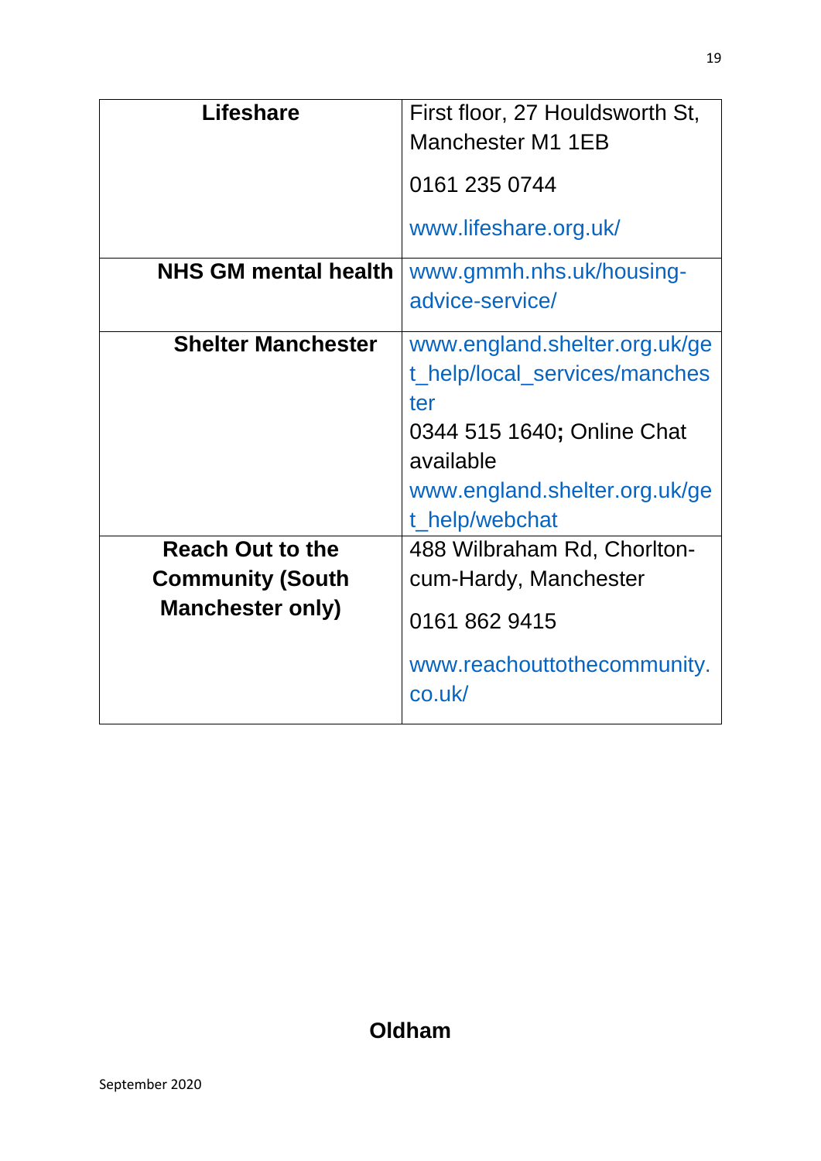| <b>Lifeshare</b>                                                              | First floor, 27 Houldsworth St,<br>Manchester M1 1EB                                                                                                                |
|-------------------------------------------------------------------------------|---------------------------------------------------------------------------------------------------------------------------------------------------------------------|
|                                                                               | 0161 235 0744                                                                                                                                                       |
|                                                                               | www.lifeshare.org.uk/                                                                                                                                               |
| <b>NHS GM mental health</b>                                                   | www.gmmh.nhs.uk/housing-<br>advice-service/                                                                                                                         |
| <b>Shelter Manchester</b>                                                     | www.england.shelter.org.uk/ge<br>t_help/local_services/manches<br>ter<br>0344 515 1640; Online Chat<br>available<br>www.england.shelter.org.uk/ge<br>t_help/webchat |
| <b>Reach Out to the</b><br><b>Community (South</b><br><b>Manchester only)</b> | 488 Wilbraham Rd, Chorlton-<br>cum-Hardy, Manchester<br>0161 862 9415<br>www.reachouttothecommunity.<br>co.uk/                                                      |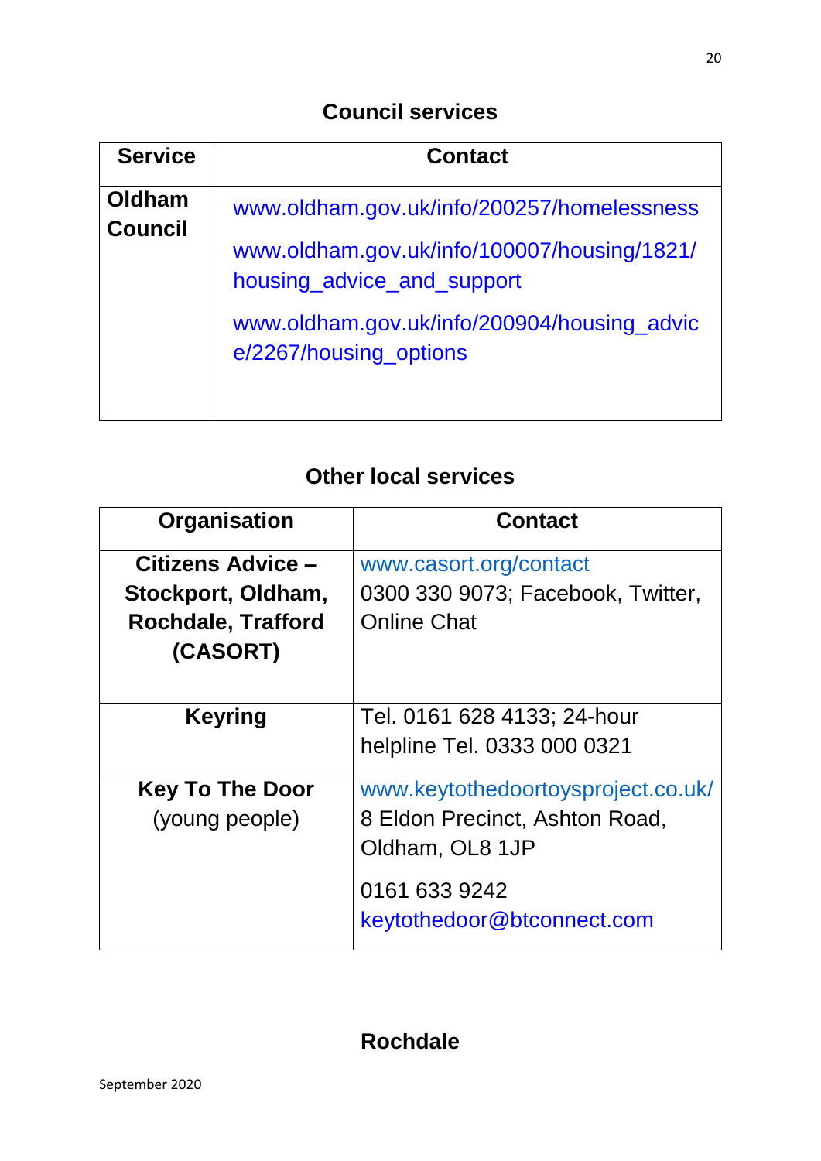| <b>Service</b>           | <b>Contact</b>                                                            |
|--------------------------|---------------------------------------------------------------------------|
| Oldham<br><b>Council</b> | www.oldham.gov.uk/info/200257/homelessness                                |
|                          | www.oldham.gov.uk/info/100007/housing/1821/<br>housing_advice_and_support |
|                          | www.oldham.gov.uk/info/200904/housing_advic<br>e/2267/housing_options     |
|                          |                                                                           |

### **Other local services**

| Organisation                                    | <b>Contact</b>                                          |
|-------------------------------------------------|---------------------------------------------------------|
| Citizens Advice -                               | www.casort.org/contact                                  |
| Stockport, Oldham,<br><b>Rochdale, Trafford</b> | 0300 330 9073; Facebook, Twitter,<br><b>Online Chat</b> |
| (CASORT)                                        |                                                         |
| <b>Keyring</b>                                  | Tel. 0161 628 4133; 24-hour                             |
|                                                 | helpline Tel. 0333 000 0321                             |
| <b>Key To The Door</b>                          | www.keytothedoortoysproject.co.uk/                      |
| (young people)                                  | 8 Eldon Precinct, Ashton Road,                          |
|                                                 | Oldham, OL8 1JP                                         |
|                                                 | 0161 633 9242                                           |
|                                                 | keytothedoor@btconnect.com                              |

# **Rochdale**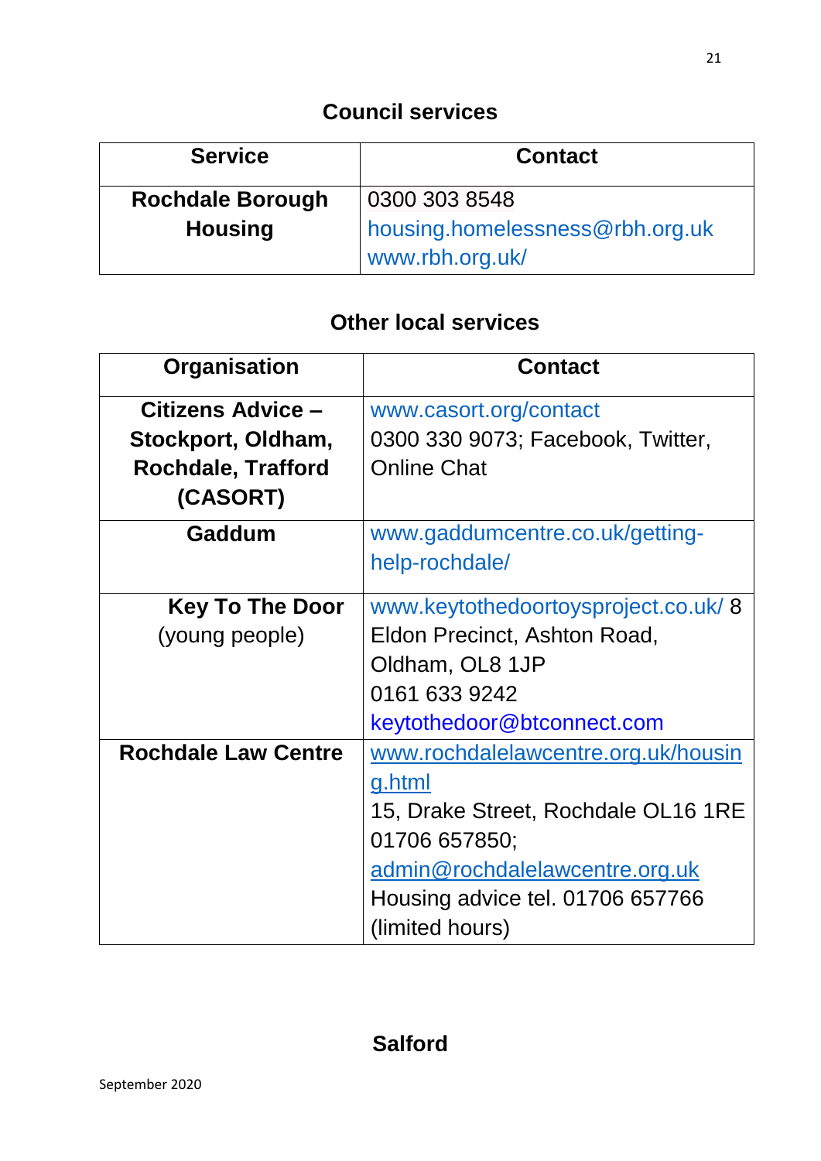| <b>Service</b>          | <b>Contact</b>                                     |
|-------------------------|----------------------------------------------------|
| <b>Rochdale Borough</b> | 0300 303 8548                                      |
| <b>Housing</b>          | housing.homelessness@rbh.org.uk<br>www.rbh.org.uk/ |

| Organisation               | <b>Contact</b>                      |
|----------------------------|-------------------------------------|
| Citizens Advice -          | www.casort.org/contact              |
| Stockport, Oldham,         | 0300 330 9073; Facebook, Twitter,   |
| <b>Rochdale, Trafford</b>  | <b>Online Chat</b>                  |
| (CASORT)                   |                                     |
| Gaddum                     | www.gaddumcentre.co.uk/getting-     |
|                            | help-rochdale/                      |
| <b>Key To The Door</b>     | www.keytothedoortoysproject.co.uk/8 |
| (young people)             | Eldon Precinct, Ashton Road,        |
|                            | Oldham, OL8 1JP                     |
|                            | 0161 633 9242                       |
|                            | keytothedoor@btconnect.com          |
| <b>Rochdale Law Centre</b> | www.rochdalelawcentre.org.uk/housin |
|                            | g.html                              |
|                            | 15, Drake Street, Rochdale OL16 1RE |
|                            | 01706 657850;                       |
|                            | admin@rochdalelawcentre.org.uk      |
|                            | Housing advice tel. 01706 657766    |
|                            | (limited hours)                     |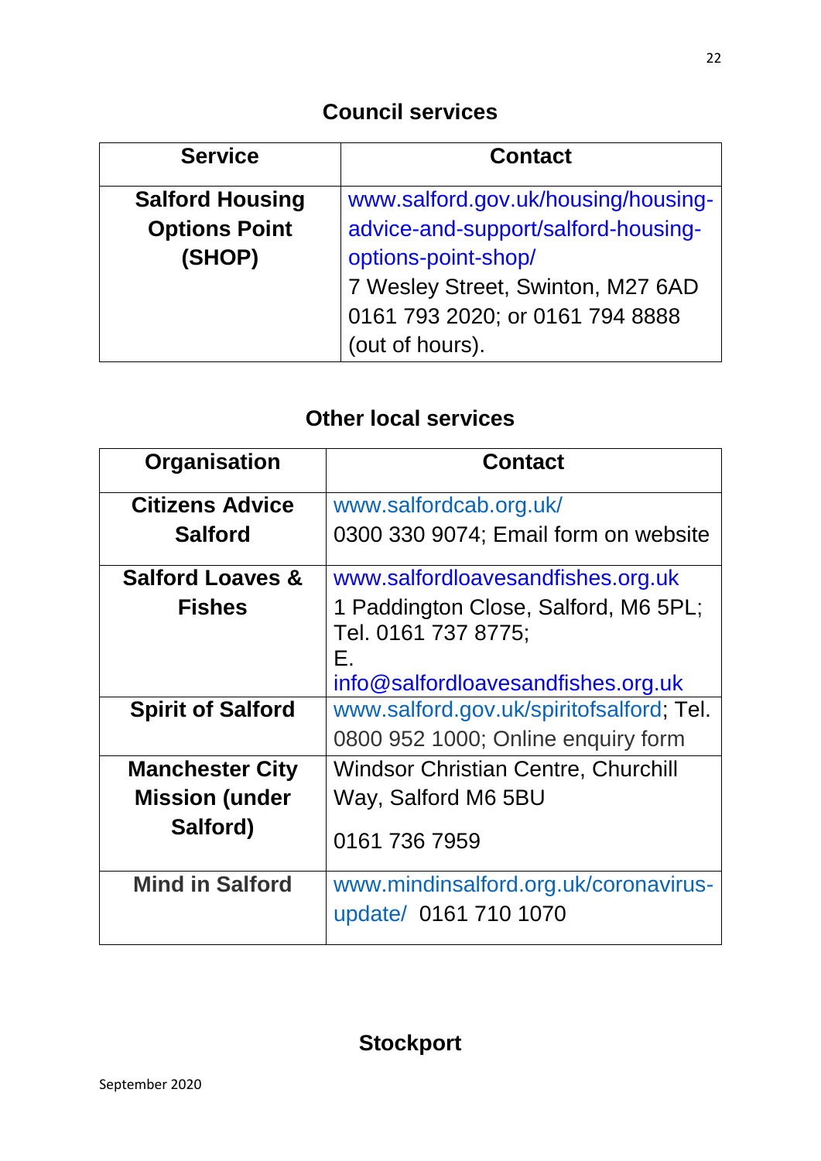| <b>Service</b>         | <b>Contact</b>                      |
|------------------------|-------------------------------------|
| <b>Salford Housing</b> | www.salford.gov.uk/housing/housing- |
| <b>Options Point</b>   | advice-and-support/salford-housing- |
| (SHOP)                 | options-point-shop/                 |
|                        | 7 Wesley Street, Swinton, M27 6AD   |
|                        | 0161 793 2020; or 0161 794 8888     |
|                        | (out of hours).                     |

| Organisation                | <b>Contact</b>                                                    |
|-----------------------------|-------------------------------------------------------------------|
| <b>Citizens Advice</b>      | www.salfordcab.org.uk/                                            |
| <b>Salford</b>              | 0300 330 9074; Email form on website                              |
| <b>Salford Loaves &amp;</b> | www.salfordloavesandfishes.org.uk                                 |
| <b>Fishes</b>               | 1 Paddington Close, Salford, M6 5PL;<br>Tel. 0161 737 8775;<br>Е. |
|                             | info@salfordloavesandfishes.org.uk                                |
| <b>Spirit of Salford</b>    | www.salford.gov.uk/spiritofsalford; Tel.                          |
|                             | 0800 952 1000; Online enquiry form                                |
| <b>Manchester City</b>      | <b>Windsor Christian Centre, Churchill</b>                        |
| <b>Mission (under</b>       | Way, Salford M6 5BU                                               |
| Salford)                    | 0161 736 7959                                                     |
| <b>Mind in Salford</b>      | www.mindinsalford.org.uk/coronavirus-                             |
|                             | update/ 0161 710 1070                                             |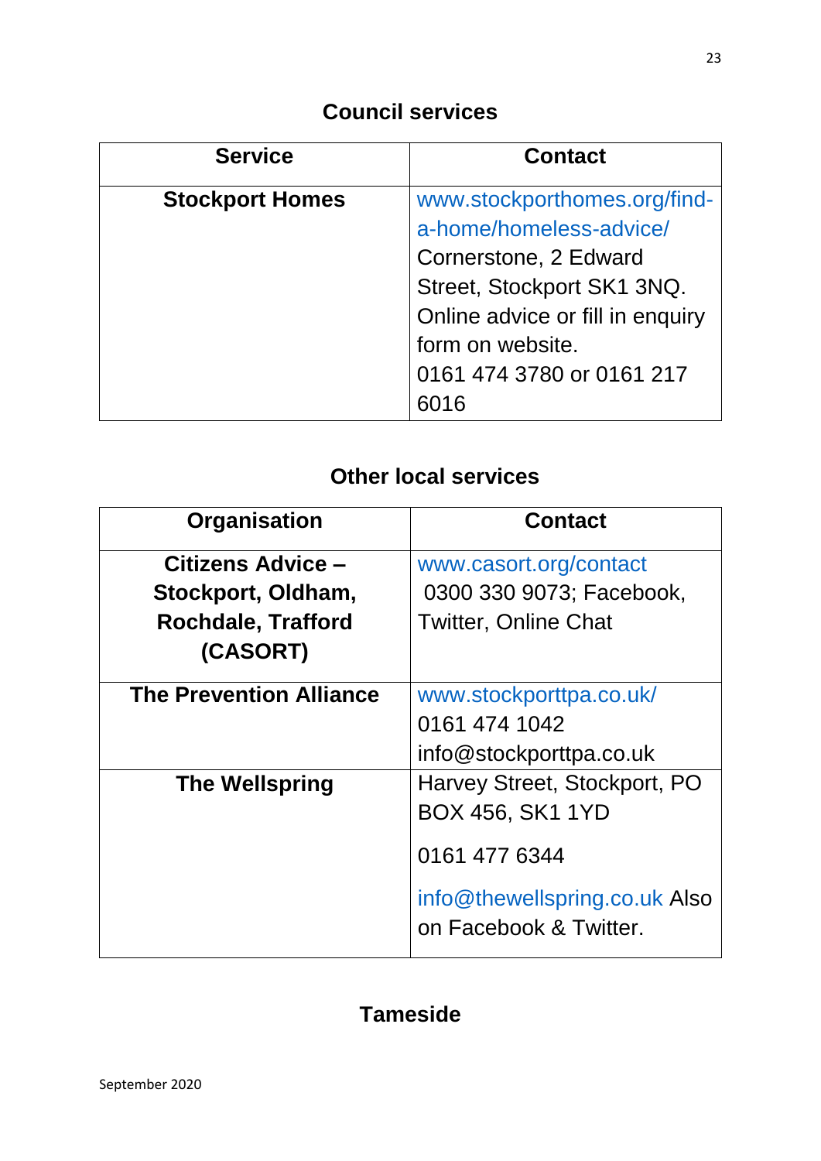| <b>Service</b>         | <b>Contact</b>                   |
|------------------------|----------------------------------|
| <b>Stockport Homes</b> | www.stockporthomes.org/find-     |
|                        | a-home/homeless-advice/          |
|                        | Cornerstone, 2 Edward            |
|                        | Street, Stockport SK1 3NQ.       |
|                        | Online advice or fill in enquiry |
|                        | form on website.                 |
|                        | 0161 474 3780 or 0161 217        |
|                        |                                  |

# **Other local services**

| Organisation                   | <b>Contact</b>                                          |
|--------------------------------|---------------------------------------------------------|
| Citizens Advice -              | www.casort.org/contact                                  |
| Stockport, Oldham,             | 0300 330 9073; Facebook,                                |
| <b>Rochdale, Trafford</b>      | <b>Twitter, Online Chat</b>                             |
| (CASORT)                       |                                                         |
| <b>The Prevention Alliance</b> | www.stockporttpa.co.uk/                                 |
|                                | 0161 474 1042                                           |
|                                | info@stockporttpa.co.uk                                 |
| <b>The Wellspring</b>          | Harvey Street, Stockport, PO                            |
|                                | BOX 456, SK1 1YD                                        |
|                                | 0161 477 6344                                           |
|                                | info@thewellspring.co.uk Also<br>on Facebook & Twitter. |

### **Tameside**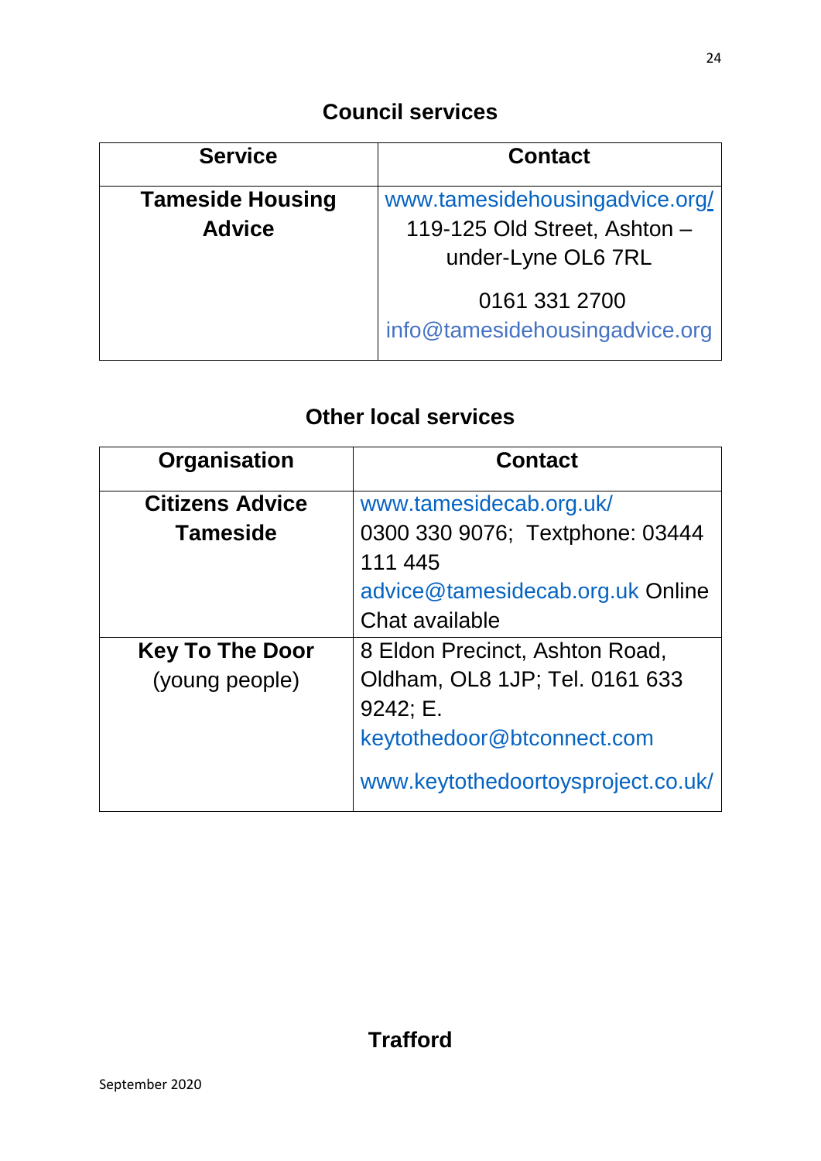| <b>Service</b>                           | <b>Contact</b>                                                                       |
|------------------------------------------|--------------------------------------------------------------------------------------|
| <b>Tameside Housing</b><br><b>Advice</b> | www.tamesidehousingadvice.org/<br>119-125 Old Street, Ashton -<br>under-Lyne OL6 7RL |
|                                          | 0161 331 2700<br>info@tamesidehousingadvice.org                                      |

| Organisation           | <b>Contact</b>                                     |
|------------------------|----------------------------------------------------|
| <b>Citizens Advice</b> | www.tamesidecab.org.uk/                            |
| <b>Tameside</b>        | 0300 330 9076; Textphone: 03444<br>111 445         |
|                        | advice@tamesidecab.org.uk Online<br>Chat available |
| <b>Key To The Door</b> | 8 Eldon Precinct, Ashton Road,                     |
| (young people)         | Oldham, OL8 1JP; Tel. 0161 633                     |
|                        | 9242; E.                                           |
|                        | keytothedoor@btconnect.com                         |
|                        | www.keytothedoortoysproject.co.uk/                 |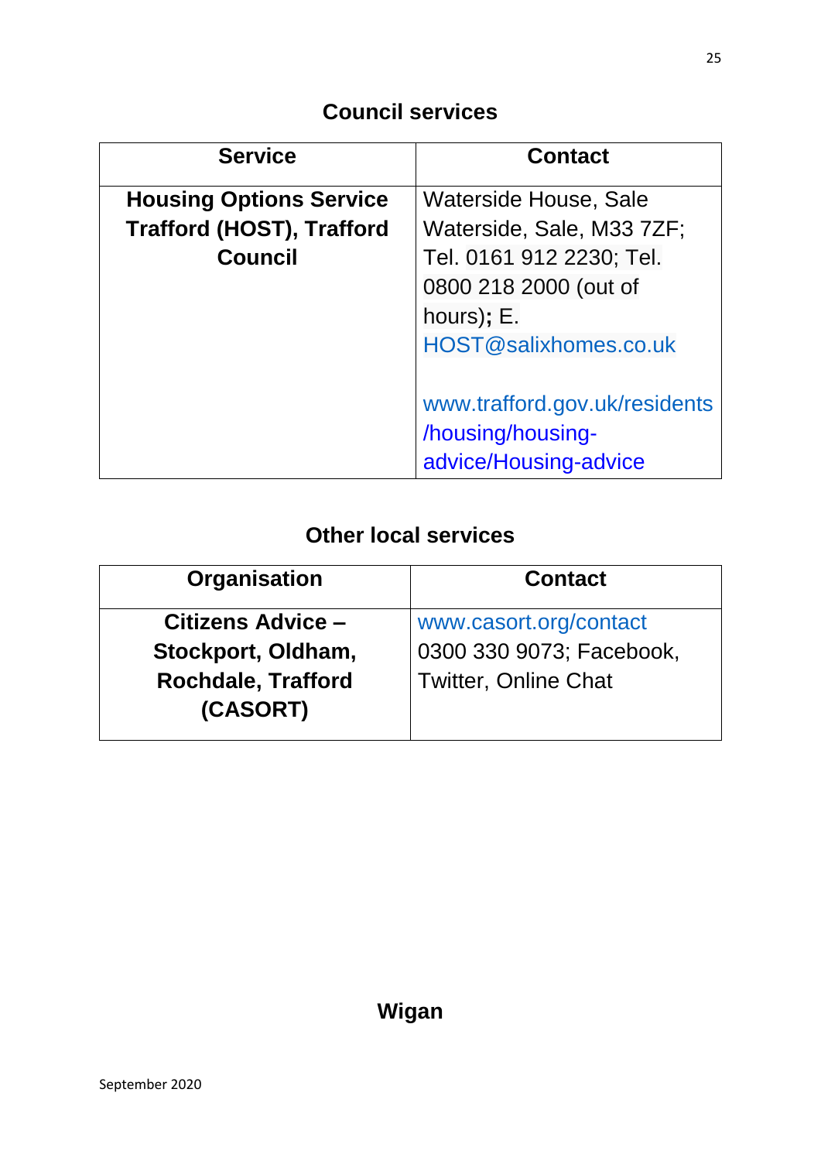| <b>Service</b>                   | <b>Contact</b>                |
|----------------------------------|-------------------------------|
| <b>Housing Options Service</b>   | Waterside House, Sale         |
| <b>Trafford (HOST), Trafford</b> | Waterside, Sale, M33 7ZF;     |
| <b>Council</b>                   | Tel. 0161 912 2230; Tel.      |
|                                  | 0800 218 2000 (out of         |
|                                  | hours); E.                    |
|                                  | HOST@salixhomes.co.uk         |
|                                  |                               |
|                                  | www.trafford.gov.uk/residents |
|                                  | /housing/housing-             |
|                                  | advice/Housing-advice         |

| <b>Contact</b>              |
|-----------------------------|
| www.casort.org/contact      |
| 0300 330 9073; Facebook,    |
| <b>Twitter, Online Chat</b> |
|                             |